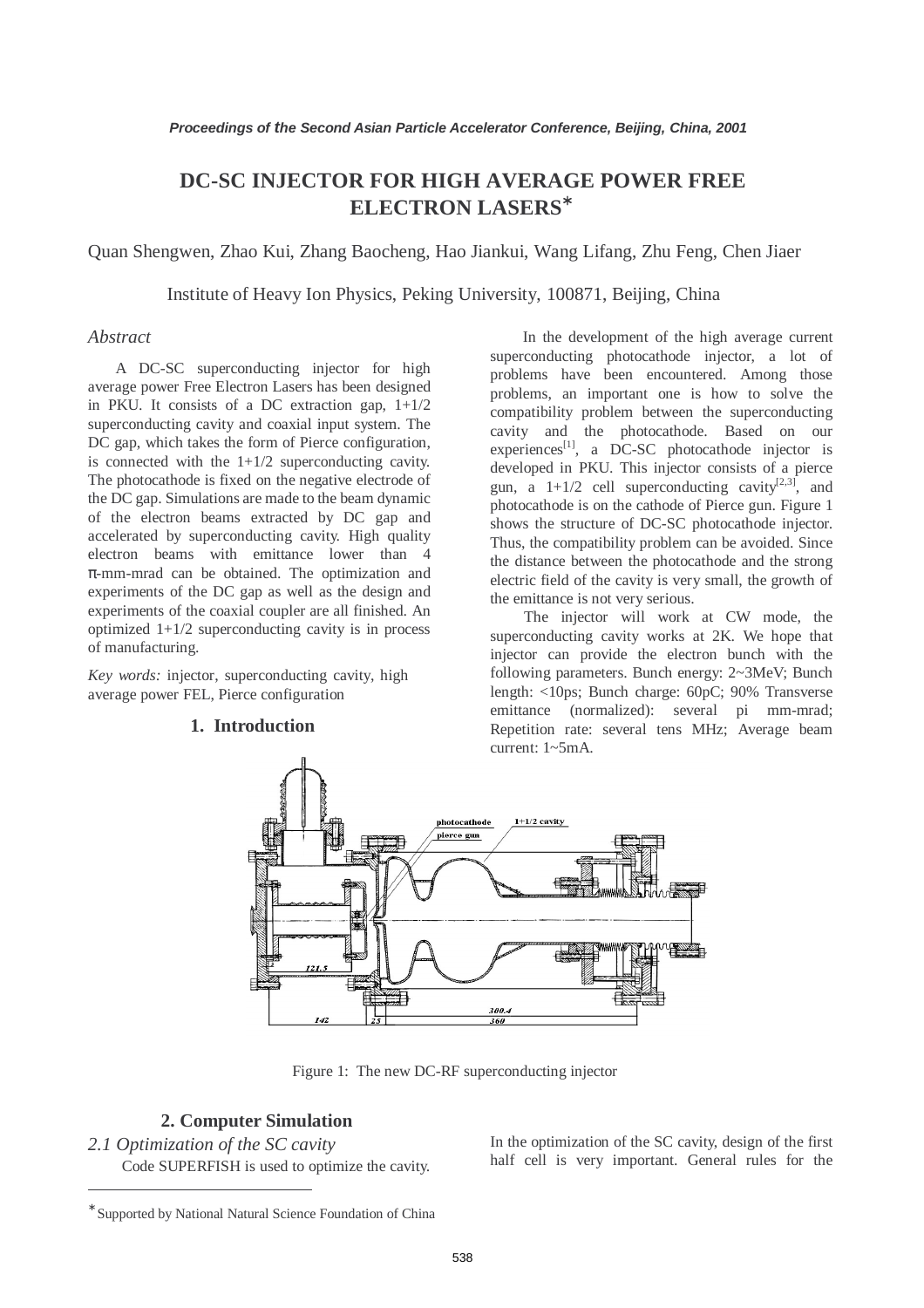# **DC-SC INJECTOR FOR HIGH AVERAGE POWER FREE** ∗ **ELECTRON LASERS**

Quan Shengwen, Zhao Kui, Zhang Baocheng, Hao Jiankui, Wang Lifang, Zhu Feng, Chen Jiaer

Institute of Heavy Ion Physics, Peking University, 100871, Beijing, China

## *Abstract*

A DC-SC superconducting injector for high average power Free Electron Lasers has been designed in PKU. It consists of a DC extraction gap,  $1+1/2$ superconducting cavity and coaxial input system. The DC gap, which takes the form of Pierce configuration, is connected with the  $1+1/2$  superconducting cavity. The photocathode is fixed on the negative electrode of the DC gap. Simulations are made to the beam dynamic of the electron beams extracted by DC gap and accelerated by superconducting cavity. High quality electron beams with emittance lower than 4 π-mm-mrad can be obtained. The optimization and experiments of the DC gap as well as the design and experiments of the coaxial coupler are all finished. An optimized 1+1/2 superconducting cavity is in process of manufacturing.

*Key words:* injector, superconducting cavity, high average power FEL, Pierce configuration

### **1. Introduction**

In the development of the high average current superconducting photocathode injector, a lot of problems have been encountered. Among those problems, an important one is how to solve the compatibility problem between the superconducting cavity and the photocathode. Based on our experiences<sup>[1]</sup>, a DC-SC photocathode injector is developed in PKU. This injector consists of a pierce gun, a  $1+1/2$  cell superconducting cavity<sup>[2,3]</sup>, and photocathode is on the cathode of Pierce gun. Figure 1 shows the structure of DC-SC photocathode injector. Thus, the compatibility problem can be avoided. Since the distance between the photocathode and the strong electric field of the cavity is very small, the growth of the emittance is not very serious.

The injector will work at CW mode, the superconducting cavity works at 2K. We hope that injector can provide the electron bunch with the following parameters. Bunch energy: 2~3MeV; Bunch length: <10ps; Bunch charge: 60pC; 90% Transverse emittance (normalized): several pi mm-mrad; Repetition rate: several tens MHz; Average beam current: 1~5mA.



Figure 1: The new DC-RF superconducting injector

# **2. Computer Simulation**

*2.1 Optimization of the SC cavity*  Code SUPERFISH is used to optimize the cavity. In the optimization of the SC cavity, design of the first half cell is very important. General rules for the

 $\overline{a}$ 

<sup>∗</sup> Supported by National Natural Science Foundation of China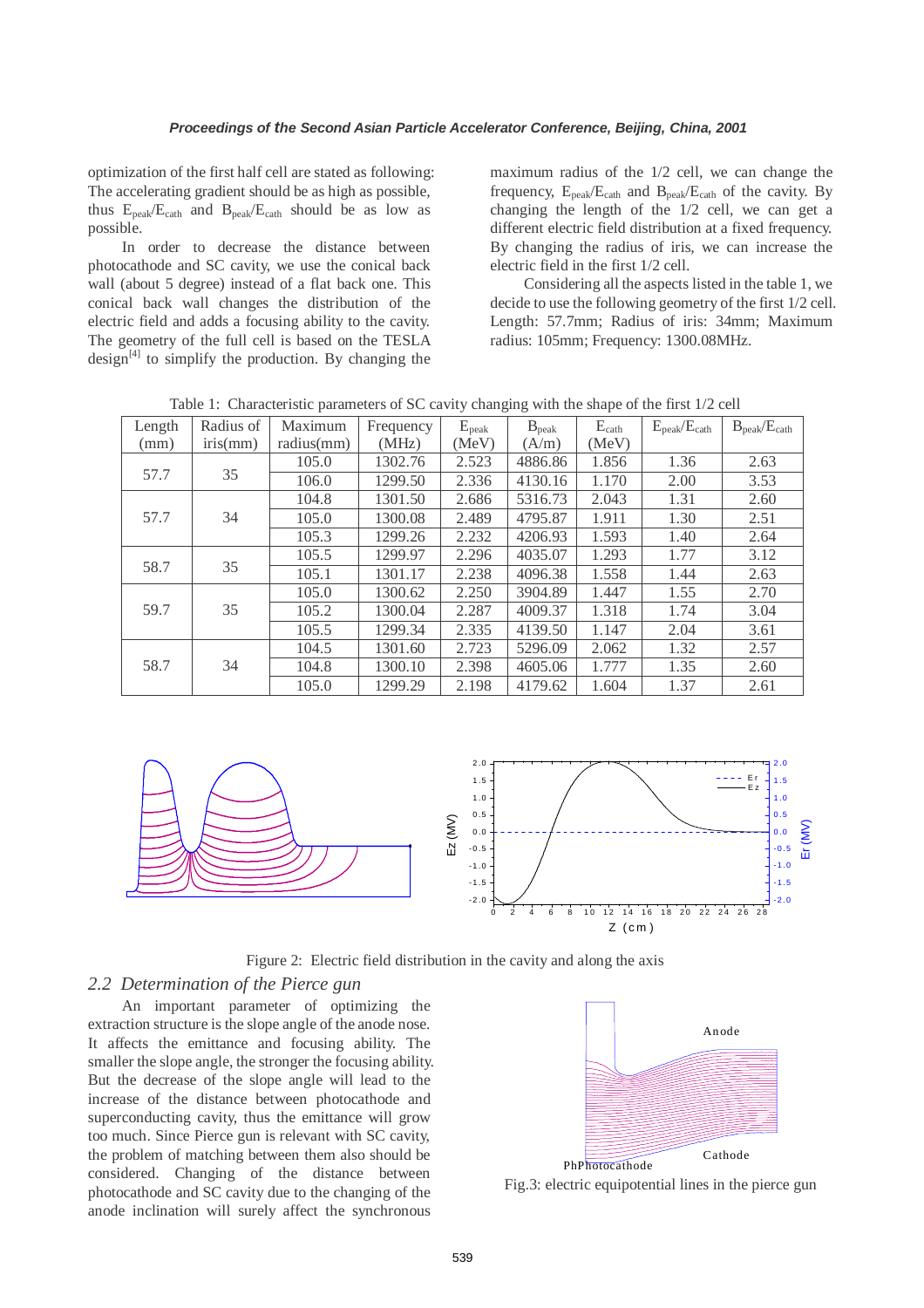optimization of the first half cell are stated as following: The accelerating gradient should be as high as possible, thus Epeak/Ecath and Bpeak/Ecath should be as low as possible.

In order to decrease the distance between photocathode and SC cavity, we use the conical back wall (about 5 degree) instead of a flat back one. This conical back wall changes the distribution of the electric field and adds a focusing ability to the cavity. The geometry of the full cell is based on the TESLA design $[4]$  to simplify the production. By changing the maximum radius of the 1/2 cell, we can change the frequency, Epeak/Ecath and Bpeak/Ecath of the cavity. By changing the length of the 1/2 cell, we can get a different electric field distribution at a fixed frequency. By changing the radius of iris, we can increase the electric field in the first 1/2 cell.

Considering all the aspects listed in the table 1, we decide to use the following geometry of the first 1/2 cell. Length: 57.7mm; Radius of iris: 34mm; Maximum radius: 105mm; Frequency: 1300.08MHz.

| Length | Radius of | Maximum    | Frequency | $E_{\rm peak}$ | $B_{\rm peak}$ | $E_{\text{cath}}$ | $E_{\rm peak}/E_{\rm cath}$ | $B_{\rm peak}/E_{\rm cath}$ |
|--------|-----------|------------|-----------|----------------|----------------|-------------------|-----------------------------|-----------------------------|
| (mm)   | iris(mm)  | radius(mm) | (MHz)     | (MeV)          | (A/m)          | (MeV)             |                             |                             |
|        |           | 105.0      | 1302.76   | 2.523          | 4886.86        | 1.856             | 1.36                        | 2.63                        |
| 57.7   | 35        | 106.0      | 1299.50   | 2.336          | 4130.16        | 1.170             | 2.00                        | 3.53                        |
|        |           | 104.8      | 1301.50   | 2.686          | 5316.73        | 2.043             | 1.31                        | 2.60                        |
| 57.7   | 34        | 105.0      | 1300.08   | 2.489          | 4795.87        | 1.911             | 1.30                        | 2.51                        |
|        |           | 105.3      | 1299.26   | 2.232          | 4206.93        | 1.593             | 1.40                        | 2.64                        |
|        |           | 105.5      | 1299.97   | 2.296          | 4035.07        | 1.293             | 1.77                        | 3.12                        |
| 58.7   | 35        | 105.1      | 1301.17   | 2.238          | 4096.38        | 1.558             | 1.44                        | 2.63                        |
|        |           | 105.0      | 1300.62   | 2.250          | 3904.89        | 1.447             | 1.55                        | 2.70                        |
| 59.7   | 35        | 105.2      | 1300.04   | 2.287          | 4009.37        | 1.318             | 1.74                        | 3.04                        |
|        |           | 105.5      | 1299.34   | 2.335          | 4139.50        | 1.147             | 2.04                        | 3.61                        |
|        |           | 104.5      | 1301.60   | 2.723          | 5296.09        | 2.062             | 1.32                        | 2.57                        |
| 58.7   | 34        | 104.8      | 1300.10   | 2.398          | 4605.06        | 1.777             | 1.35                        | 2.60                        |
|        |           | 105.0      | 1299.29   | 2.198          | 4179.62        | 1.604             | 1.37                        | 2.61                        |

Table 1: Characteristic parameters of SC cavity changing with the shape of the first 1/2 cell



Figure 2: Electric field distribution in the cavity and along the axis

# *2.2 Determination of the Pierce gun*

An important parameter of optimizing the extraction structure is the slope angle of the anode nose. It affects the emittance and focusing ability. The smaller the slope angle, the stronger the focusing ability. But the decrease of the slope angle will lead to the increase of the distance between photocathode and superconducting cavity, thus the emittance will grow too much. Since Pierce gun is relevant with SC cavity, the problem of matching between them also should be considered. Changing of the distance between photocathode and SC cavity due to the changing of the anode inclination will surely affect the synchronous



Fig.3: electric equipotential lines in the pierce gun